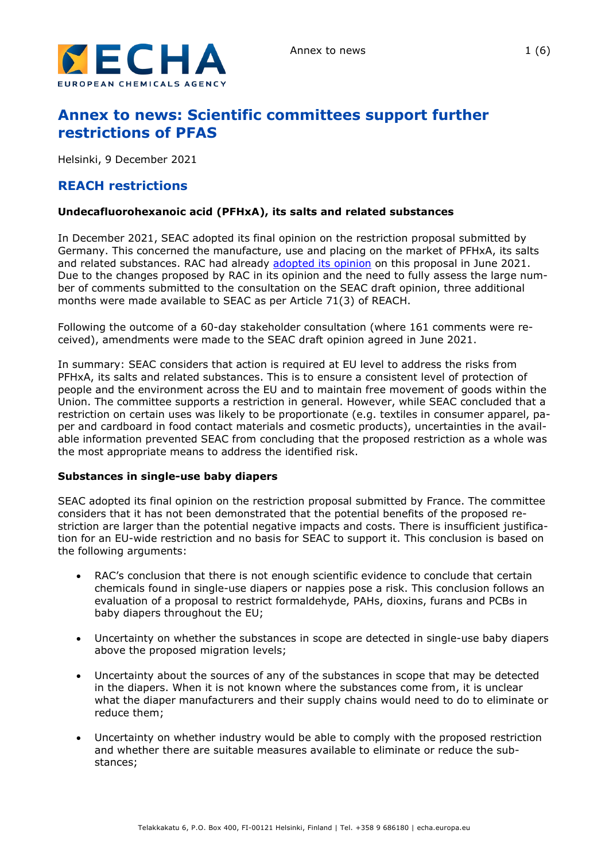

# **Annex to news: Scientific committees support further restrictions of PFAS**

Helsinki, 9 December 2021

# **REACH restrictions**

# **Undecafluorohexanoic acid (PFHxA), its salts and related substances**

In December 2021, SEAC adopted its final opinion on the restriction proposal submitted by Germany. This concerned the manufacture, use and placing on the market of PFHxA, its salts and related substances. RAC had already [adopted its opinion](https://echa.europa.eu/documents/10162/8fa51c6a-70e4-1a20-5170-d34e58771a5a) on this proposal in June 2021. Due to the changes proposed by RAC in its opinion and the need to fully assess the large number of comments submitted to the consultation on the SEAC draft opinion, three additional months were made available to SEAC as per Article 71(3) of REACH.

Following the outcome of a 60-day stakeholder consultation (where 161 comments were received), amendments were made to the SEAC draft opinion agreed in June 2021.

In summary: SEAC considers that action is required at EU level to address the risks from PFHxA, its salts and related substances. This is to ensure a consistent level of protection of people and the environment across the EU and to maintain free movement of goods within the Union. The committee supports a restriction in general. However, while SEAC concluded that a restriction on certain uses was likely to be proportionate (e.g. textiles in consumer apparel, paper and cardboard in food contact materials and cosmetic products), uncertainties in the available information prevented SEAC from concluding that the proposed restriction as a whole was the most appropriate means to address the identified risk.

#### **Substances in single-use baby diapers**

SEAC adopted its final opinion on the restriction proposal submitted by France. The committee considers that it has not been demonstrated that the potential benefits of the proposed restriction are larger than the potential negative impacts and costs. There is insufficient justification for an EU-wide restriction and no basis for SEAC to support it. This conclusion is based on the following arguments:

- RAC's conclusion that there is not enough scientific evidence to conclude that certain chemicals found in single-use diapers or nappies pose a risk. This conclusion follows an evaluation of a proposal to restrict formaldehyde, PAHs, dioxins, furans and PCBs in baby diapers throughout the EU;
- Uncertainty on whether the substances in scope are detected in single-use baby diapers above the proposed migration levels;
- Uncertainty about the sources of any of the substances in scope that may be detected in the diapers. When it is not known where the substances come from, it is unclear what the diaper manufacturers and their supply chains would need to do to eliminate or reduce them;
- Uncertainty on whether industry would be able to comply with the proposed restriction and whether there are suitable measures available to eliminate or reduce the substances;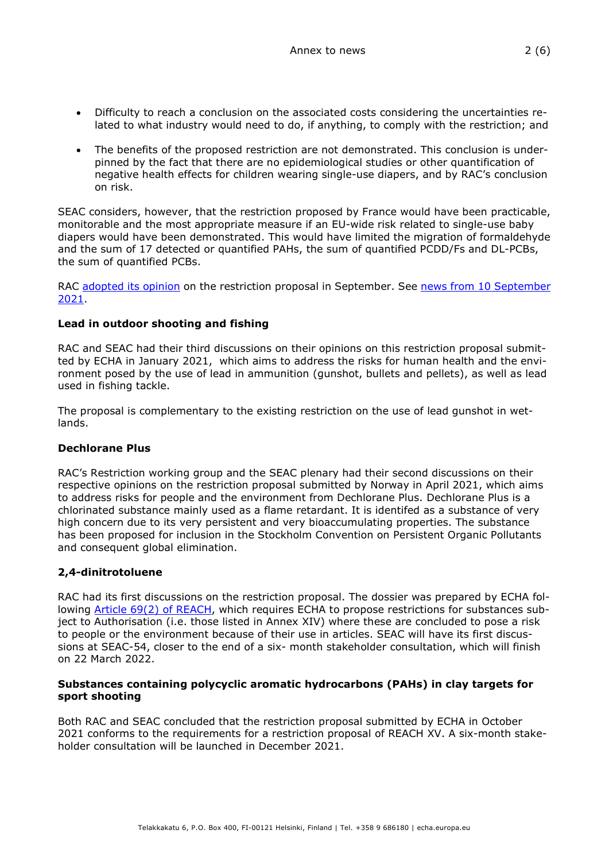- Difficulty to reach a conclusion on the associated costs considering the uncertainties related to what industry would need to do, if anything, to comply with the restriction; and
- The benefits of the proposed restriction are not demonstrated. This conclusion is underpinned by the fact that there are no epidemiological studies or other quantification of negative health effects for children wearing single-use diapers, and by RAC's conclusion on risk.

SEAC considers, however, that the restriction proposed by France would have been practicable, monitorable and the most appropriate measure if an EU-wide risk related to single-use baby diapers would have been demonstrated. This would have limited the migration of formaldehyde and the sum of 17 detected or quantified PAHs, the sum of quantified PCDD/Fs and DL-PCBs, the sum of quantified PCBs.

RAC [adopted its opinion](https://echa.europa.eu/documents/10162/2842450/rest_disposable_diapers_opinion_rac_20186_en.pdf/c374b7bb-b0e2-e01f-d55d-398dc270343f?t=1633022415810) on the restriction proposal in September. See news from 10 September [2021.](https://echa.europa.eu/-/risks-from-chemicals-in-baby-diapers-not-demonstrated)

# **Lead in outdoor shooting and fishing**

RAC and SEAC had their third discussions on their opinions on this restriction proposal submitted by ECHA in January 2021, which aims to address the risks for human health and the environment posed by the use of lead in ammunition (gunshot, bullets and pellets), as well as lead used in fishing tackle.

The proposal is complementary to the existing restriction on the use of lead gunshot in wetlands.

#### **Dechlorane Plus**

RAC's Restriction working group and the SEAC plenary had their second discussions on their respective opinions on the restriction proposal submitted by Norway in April 2021, which aims to address risks for people and the environment from Dechlorane Plus. Dechlorane Plus is a chlorinated substance mainly used as a flame retardant. It is identifed as a substance of very high concern due to its very persistent and very bioaccumulating properties. The substance has been proposed for inclusion in the Stockholm Convention on Persistent Organic Pollutants and consequent global elimination.

# **2,4-dinitrotoluene**

RAC had its first discussions on the restriction proposal. The dossier was prepared by ECHA following **Article 69(2) of REACH**, which requires ECHA to propose restrictions for substances subject to Authorisation (i.e. those listed in Annex XIV) where these are concluded to pose a risk to people or the environment because of their use in articles. SEAC will have its first discussions at SEAC-54, closer to the end of a six- month stakeholder consultation, which will finish on 22 March 2022.

#### **Substances containing polycyclic aromatic hydrocarbons (PAHs) in clay targets for sport shooting**

Both RAC and SEAC concluded that the restriction proposal submitted by ECHA in October 2021 conforms to the requirements for a restriction proposal of REACH XV. A six-month stakeholder consultation will be launched in December 2021.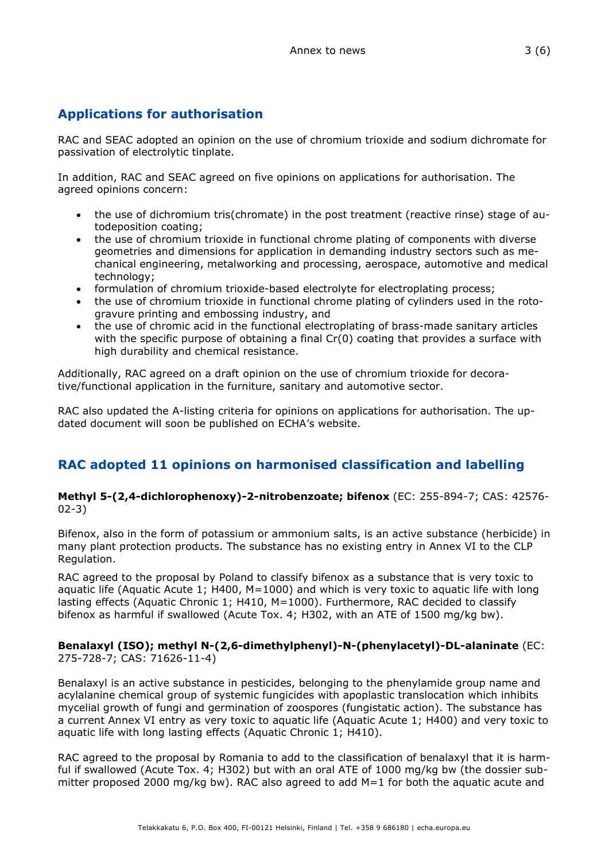# **Applications for authorisation**

RAC and SEAC adopted an opinion on the use of chromium trioxide and sodium dichromate for passivation of electrolytic tinplate.

In addition, RAC and SEAC agreed on five opinions on applications for authorisation. The agreed opinions concern:

- the use of dichromium tris(chromate) in the post treatment (reactive rinse) stage of autodeposition coating;
- the use of chromium trioxide in functional chrome plating of components with diverse geometries and dimensions for application in demanding industry sectors such as mechanical engineering, metalworking and processing, aerospace, automotive and medical technology;
- formulation of chromium trioxide-based electrolyte for electroplating process;
- the use of chromium trioxide in functional chrome plating of cylinders used in the rotogravure printing and embossing industry, and
- the use of chromic acid in the functional electroplating of brass-made sanitary articles with the specific purpose of obtaining a final Cr(0) coating that provides a surface with high durability and chemical resistance.

Additionally, RAC agreed on a draft opinion on the use of chromium trioxide for decorative/functional application in the furniture, sanitary and automotive sector.

RAC also updated the A-listing criteria for opinions on applications for authorisation. The updated document will soon be published on ECHA's website.

# **RAC adopted 11 opinions on harmonised classification and labelling**

#### **Methyl 5-(2,4-dichlorophenoxy)-2-nitrobenzoate; bifenox** (EC: 255-894-7; CAS: 42576- 02-3)

Bifenox, also in the form of potassium or ammonium salts, is an active substance (herbicide) in many plant protection products. The substance has no existing entry in Annex VI to the CLP Regulation.

RAC agreed to the proposal by Poland to classify bifenox as a substance that is very toxic to aquatic life (Aquatic Acute 1; H400, M=1000) and which is very toxic to aquatic life with long lasting effects (Aquatic Chronic 1; H410, M=1000). Furthermore, RAC decided to classify bifenox as harmful if swallowed (Acute Tox. 4; H302, with an ATE of 1500 mg/kg bw).

#### **Benalaxyl (ISO); methyl N-(2,6-dimethylphenyl)-N-(phenylacetyl)-DL-alaninate** (EC: 275-728-7; CAS: 71626-11-4)

Benalaxyl is an active substance in pesticides, belonging to the phenylamide group name and acylalanine chemical group of systemic fungicides with apoplastic translocation which inhibits mycelial growth of fungi and germination of zoospores (fungistatic action). The substance has a current Annex VI entry as very toxic to aquatic life (Aquatic Acute 1; H400) and very toxic to aquatic life with long lasting effects (Aquatic Chronic 1; H410).

RAC agreed to the proposal by Romania to add to the classification of benalaxyl that it is harmful if swallowed (Acute Tox. 4; H302) but with an oral ATE of 1000 mg/kg bw (the dossier submitter proposed 2000 mg/kg bw). RAC also agreed to add M=1 for both the aquatic acute and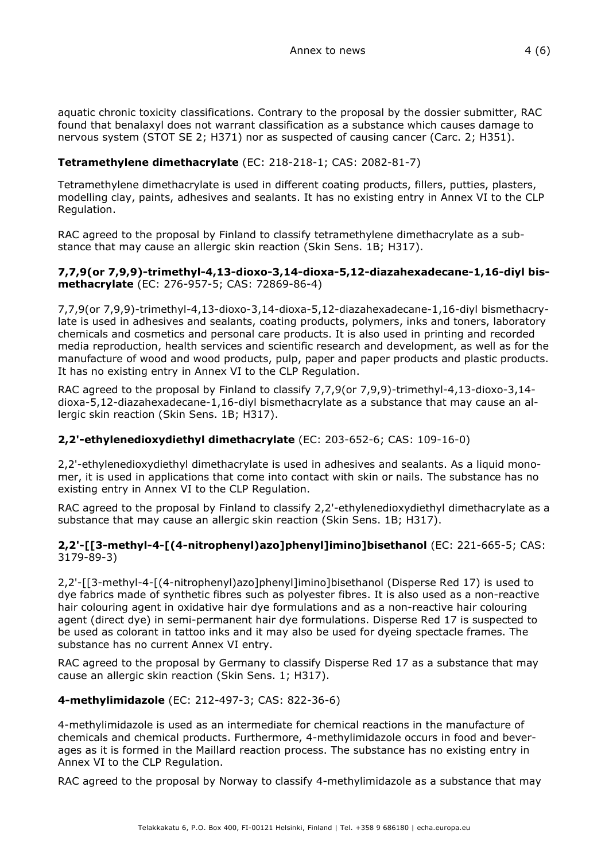aquatic chronic toxicity classifications. Contrary to the proposal by the dossier submitter, RAC found that benalaxyl does not warrant classification as a substance which causes damage to nervous system (STOT SE 2; H371) nor as suspected of causing cancer (Carc. 2; H351).

# **Tetramethylene dimethacrylate** (EC: 218-218-1; CAS: 2082-81-7)

Tetramethylene dimethacrylate is used in different coating products, fillers, putties, plasters, modelling clay, paints, adhesives and sealants. It has no existing entry in Annex VI to the CLP Regulation.

RAC agreed to the proposal by Finland to classify tetramethylene dimethacrylate as a substance that may cause an allergic skin reaction (Skin Sens. 1B; H317).

#### **7,7,9(or 7,9,9)-trimethyl-4,13-dioxo-3,14-dioxa-5,12-diazahexadecane-1,16-diyl bismethacrylate** (EC: 276-957-5; CAS: 72869-86-4)

7,7,9(or 7,9,9)-trimethyl-4,13-dioxo-3,14-dioxa-5,12-diazahexadecane-1,16-diyl bismethacrylate is used in adhesives and sealants, coating products, polymers, inks and toners, laboratory chemicals and cosmetics and personal care products. It is also used in printing and recorded media reproduction, health services and scientific research and development, as well as for the manufacture of wood and wood products, pulp, paper and paper products and plastic products. It has no existing entry in Annex VI to the CLP Regulation.

RAC agreed to the proposal by Finland to classify 7,7,9(or 7,9,9)-trimethyl-4,13-dioxo-3,14 dioxa-5,12-diazahexadecane-1,16-diyl bismethacrylate as a substance that may cause an allergic skin reaction (Skin Sens. 1B; H317).

# **2,2'-ethylenedioxydiethyl dimethacrylate** (EC: 203-652-6; CAS: 109-16-0)

2,2'-ethylenedioxydiethyl dimethacrylate is used in adhesives and sealants. As a liquid monomer, it is used in applications that come into contact with skin or nails. The substance has no existing entry in Annex VI to the CLP Regulation.

RAC agreed to the proposal by Finland to classify 2,2'-ethylenedioxydiethyl dimethacrylate as a substance that may cause an allergic skin reaction (Skin Sens. 1B; H317).

# **2,2'-[[3-methyl-4-[(4-nitrophenyl)azo]phenyl]imino]bisethanol** (EC: 221-665-5; CAS: 3179-89-3)

2,2'-[[3-methyl-4-[(4-nitrophenyl)azo]phenyl]imino]bisethanol (Disperse Red 17) is used to dye fabrics made of synthetic fibres such as polyester fibres. It is also used as a non-reactive hair colouring agent in oxidative hair dye formulations and as a non-reactive hair colouring agent (direct dye) in semi-permanent hair dye formulations. Disperse Red 17 is suspected to be used as colorant in tattoo inks and it may also be used for dyeing spectacle frames. The substance has no current Annex VI entry.

RAC agreed to the proposal by Germany to classify Disperse Red 17 as a substance that may cause an allergic skin reaction (Skin Sens. 1; H317).

# **4-methylimidazole** (EC: 212-497-3; CAS: 822-36-6)

4-methylimidazole is used as an intermediate for chemical reactions in the manufacture of chemicals and chemical products. Furthermore, 4-methylimidazole occurs in food and beverages as it is formed in the Maillard reaction process. The substance has no existing entry in Annex VI to the CLP Regulation.

RAC agreed to the proposal by Norway to classify 4-methylimidazole as a substance that may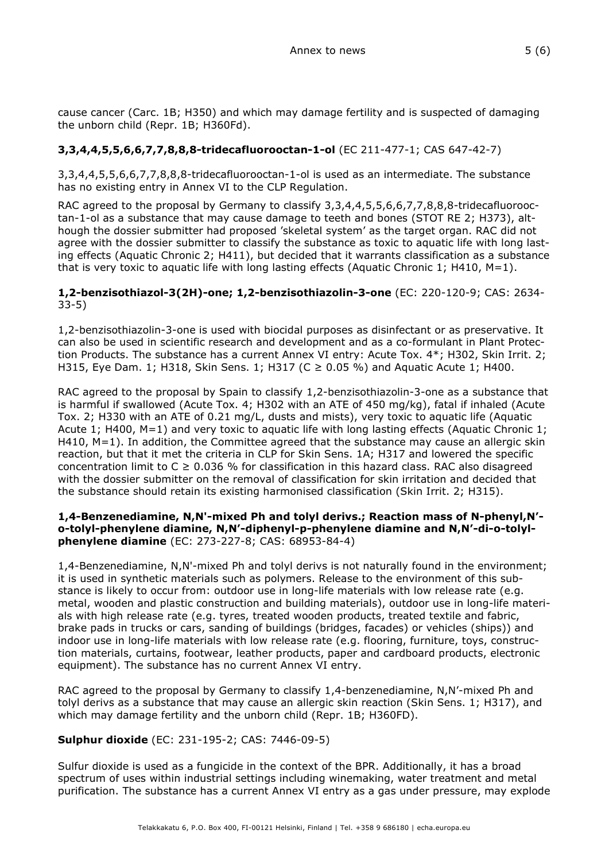cause cancer (Carc. 1B; H350) and which may damage fertility and is suspected of damaging the unborn child (Repr. 1B; H360Fd).

# **3,3,4,4,5,5,6,6,7,7,8,8,8-tridecafluorooctan-1-ol** (EC 211-477-1; CAS 647-42-7)

3,3,4,4,5,5,6,6,7,7,8,8,8-tridecafluorooctan-1-ol is used as an intermediate. The substance has no existing entry in Annex VI to the CLP Regulation.

RAC agreed to the proposal by Germany to classify 3,3,4,4,5,5,6,6,7,7,8,8,8-tridecafluorooctan-1-ol as a substance that may cause damage to teeth and bones (STOT RE 2; H373), although the dossier submitter had proposed 'skeletal system' as the target organ. RAC did not agree with the dossier submitter to classify the substance as toxic to aquatic life with long lasting effects (Aquatic Chronic 2; H411), but decided that it warrants classification as a substance that is very toxic to aquatic life with long lasting effects (Aquatic Chronic 1; H410,  $M=1$ ).

#### **1,2-benzisothiazol-3(2H)-one; 1,2-benzisothiazolin-3-one** (EC: 220-120-9; CAS: 2634- 33-5)

1,2-benzisothiazolin-3-one is used with biocidal purposes as disinfectant or as preservative. It can also be used in scientific research and development and as a co-formulant in Plant Protection Products. The substance has a current Annex VI entry: Acute Tox. 4\*; H302, Skin Irrit. 2; H315, Eye Dam. 1; H318, Skin Sens. 1; H317 (C ≥ 0.05 %) and Aquatic Acute 1; H400.

RAC agreed to the proposal by Spain to classify 1,2-benzisothiazolin-3-one as a substance that is harmful if swallowed (Acute Tox. 4; H302 with an ATE of 450 mg/kg), fatal if inhaled (Acute Tox. 2; H330 with an ATE of 0.21 mg/L, dusts and mists), very toxic to aquatic life (Aquatic Acute 1; H400, M=1) and very toxic to aquatic life with long lasting effects (Aquatic Chronic 1; H410, M=1). In addition, the Committee agreed that the substance may cause an allergic skin reaction, but that it met the criteria in CLP for Skin Sens. 1A; H317 and lowered the specific concentration limit to  $C \geq 0.036$  % for classification in this hazard class. RAC also disagreed with the dossier submitter on the removal of classification for skin irritation and decided that the substance should retain its existing harmonised classification (Skin Irrit. 2; H315).

### **1,4-Benzenediamine, N,N'-mixed Ph and tolyl derivs.; Reaction mass of N-phenyl,N' o-tolyl-phenylene diamine, N,N'-diphenyl-p-phenylene diamine and N,N'-di-o-tolylphenylene diamine** (EC: 273-227-8; CAS: 68953-84-4)

1,4-Benzenediamine, N,N'-mixed Ph and tolyl derivs is not naturally found in the environment; it is used in synthetic materials such as polymers. Release to the environment of this substance is likely to occur from: outdoor use in long-life materials with low release rate (e.g. metal, wooden and plastic construction and building materials), outdoor use in long-life materials with high release rate (e.g. tyres, treated wooden products, treated textile and fabric, brake pads in trucks or cars, sanding of buildings (bridges, facades) or vehicles (ships)) and indoor use in long-life materials with low release rate (e.g. flooring, furniture, toys, construction materials, curtains, footwear, leather products, paper and cardboard products, electronic equipment). The substance has no current Annex VI entry.

RAC agreed to the proposal by Germany to classify 1,4-benzenediamine, N,N'-mixed Ph and tolyl derivs as a substance that may cause an allergic skin reaction (Skin Sens. 1; H317), and which may damage fertility and the unborn child (Repr. 1B; H360FD).

# **Sulphur dioxide** (EC: 231-195-2; CAS: 7446-09-5)

Sulfur dioxide is used as a fungicide in the context of the BPR. Additionally, it has a broad spectrum of uses within industrial settings including winemaking, water treatment and metal purification. The substance has a current Annex VI entry as a gas under pressure, may explode